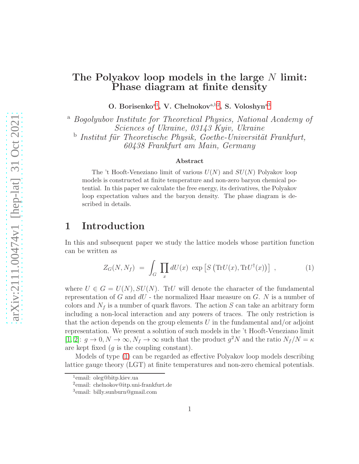# The Polyakov loop models in the large  $N$  limit: Phase diagram at finite density

O. Borisenko<sup>[a1](#page-0-0)</sup>, V. Chelnokov<sup>a,b[2](#page-0-1)</sup>, S. Voloshyn<sup>[a3](#page-0-2)</sup>

<sup>a</sup> Bogolyubov Institute for Theoretical Physics, National Academy of Sciences of Ukraine, 03143 Kyiv, Ukraine  $\Phi$  Institut für Theoretische Physik, Goethe-Universität Frankfurt, 60438 Frankfurt am Main, Germany

#### Abstract

The 't Hooft-Veneziano limit of various  $U(N)$  and  $SU(N)$  Polyakov loop models is constructed at finite temperature and non-zero baryon chemical potential. In this paper we calculate the free energy, its derivatives, the Polyakov loop expectation values and the baryon density. The phase diagram is described in details.

## 1 Introduction

In this and subsequent paper we study the lattice models whose partition function can be written as

<span id="page-0-3"></span>
$$
Z_G(N, N_f) = \int_G \prod_x dU(x) \exp \left[ S \left( \text{Tr} U(x), \text{Tr} U^\dagger(x) \right) \right] , \qquad (1)
$$

where  $U \in G = U(N), SU(N)$ . TrU will denote the character of the fundamental representation of G and  $dU$  - the normalized Haar measure on G. N is a number of colors and  $N_f$  is a number of quark flavors. The action  $S$  can take an arbitrary form including a non-local interaction and any powers of traces. The only restriction is that the action depends on the group elements U in the fundamental and/or adjoint representation. We present a solution of such models in the 't Hooft-Veneziano limit [\[1,](#page-14-0) [2\]](#page-14-1):  $g \to 0, N \to \infty, N_f \to \infty$  such that the product  $g^2N$  and the ratio  $N_f/N = \kappa$ are kept fixed  $(g$  is the coupling constant).

Models of type [\(1\)](#page-0-3) can be regarded as effective Polyakov loop models describing lattice gauge theory (LGT) at finite temperatures and non-zero chemical potentials.

<sup>1</sup> email: oleg@bitp.kiev.ua

<span id="page-0-0"></span><sup>2</sup> email: chelnokov@itp.uni-frankfurt.de

<span id="page-0-2"></span><span id="page-0-1"></span><sup>3</sup> email: billy.sunburn@gmail.com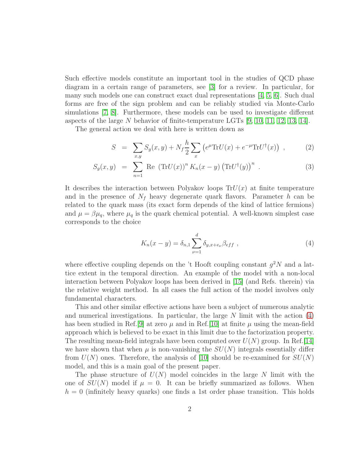Such effective models constitute an important tool in the studies of QCD phase diagram in a certain range of parameters, see [\[3\]](#page-14-2) for a review. In particular, for many such models one can construct exact dual representations  $\vert 4, 5, 6 \vert$  $\vert 4, 5, 6 \vert$  $\vert 4, 5, 6 \vert$ . Such dual forms are free of the sign problem and can be reliably studied via Monte-Carlo simulations [\[7,](#page-14-6) [8\]](#page-14-7). Furthermore, these models can be used to investigate different aspects of the large N behavior of finite-temperature LGTs  $[9, 10, 11, 12, 13, 14]$  $[9, 10, 11, 12, 13, 14]$  $[9, 10, 11, 12, 13, 14]$  $[9, 10, 11, 12, 13, 14]$  $[9, 10, 11, 12, 13, 14]$  $[9, 10, 11, 12, 13, 14]$ .

The general action we deal with here is written down as

<span id="page-1-1"></span>
$$
S = \sum_{x,y} S_g(x,y) + N_f \frac{h}{2} \sum_x \left( e^{\mu} \text{Tr} U(x) + e^{-\mu} \text{Tr} U^{\dagger}(x) \right) , \qquad (2)
$$

$$
S_g(x,y) = \sum_{n=1} \text{Re} (\text{Tr}U(x))^n K_n(x-y) (\text{Tr}U^{\dagger}(y))^n . \qquad (3)
$$

It describes the interaction between Polyakov loops  $TrU(x)$  at finite temperature and in the presence of  $N_f$  heavy degenerate quark flavors. Parameter h can be related to the quark mass (its exact form depends of the kind of lattice fermions) and  $\mu = \beta \mu_q$ , where  $\mu_q$  is the quark chemical potential. A well-known simplest case corresponds to the choice

<span id="page-1-0"></span>
$$
K_n(x - y) = \delta_{n,1} \sum_{\nu=1}^d \delta_{y,x + e_\nu} \beta_{eff} , \qquad (4)
$$

where effective coupling depends on the 't Hooft coupling constant  $g^2N$  and a lattice extent in the temporal direction. An example of the model with a non-local interaction between Polyakov loops has been derived in [\[15\]](#page-14-14) (and Refs. therein) via the relative weight method. In all cases the full action of the model involves only fundamental characters.

This and other similar effective actions have been a subject of numerous analytic and numerical investigations. In particular, the large  $N$  limit with the action  $(4)$ has been studied in Ref.[\[9\]](#page-14-8) at zero  $\mu$  and in Ref.[\[10\]](#page-14-9) at finite  $\mu$  using the mean-field approach which is believed to be exact in this limit due to the factorization property. The resulting mean-field integrals have been computed over  $U(N)$  group. In Ref.[\[14\]](#page-14-13) we have shown that when  $\mu$  is non-vanishing the  $SU(N)$  integrals essentially differ from  $U(N)$  ones. Therefore, the analysis of [\[10\]](#page-14-9) should be re-examined for  $SU(N)$ model, and this is a main goal of the present paper.

The phase structure of  $U(N)$  model coincides in the large N limit with the one of  $SU(N)$  model if  $\mu = 0$ . It can be briefly summarized as follows. When  $h = 0$  (infinitely heavy quarks) one finds a 1st order phase transition. This holds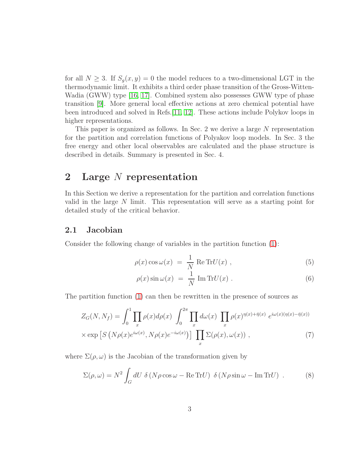for all  $N \geq 3$ . If  $S_q(x, y) = 0$  the model reduces to a two-dimensional LGT in the thermodynamic limit. It exhibits a third order phase transition of the Gross-Witten-Wadia (GWW) type [\[16,](#page-15-0) [17\]](#page-15-1). Combined system also possesses GWW type of phase transition [\[9\]](#page-14-8). More general local effective actions at zero chemical potential have been introduced and solved in Refs.[\[11,](#page-14-10) [12\]](#page-14-11). These actions include Polykov loops in higher representations.

This paper is organized as follows. In Sec. 2 we derive a large N representation for the partition and correlation functions of Polyakov loop models. In Sec. 3 the free energy and other local observables are calculated and the phase structure is described in details. Summary is presented in Sec. 4.

### 2 Large N representation

In this Section we derive a representation for the partition and correlation functions valid in the large N limit. This representation will serve as a starting point for detailed study of the critical behavior.

#### 2.1 Jacobian

Consider the following change of variables in the partition function [\(1\)](#page-0-3):

$$
\rho(x)\cos\omega(x) = \frac{1}{N} \operatorname{Re} \operatorname{Tr} U(x) , \qquad (5)
$$

$$
\rho(x)\sin\omega(x) = \frac{1}{N}\operatorname{Im}\operatorname{Tr}U(x) . \tag{6}
$$

The partition function [\(1\)](#page-0-3) can then be rewritten in the presence of sources as

$$
Z_G(N, N_f) = \int_0^1 \prod_x \rho(x) d\rho(x) \int_0^{2\pi} \prod_x d\omega(x) \prod_x \rho(x)^{\eta(x) + \bar{\eta}(x)} e^{i\omega(x)(\eta(x) - \bar{\eta}(x))}
$$
  
× exp  $[S (N\rho(x)e^{i\omega(x)}, N\rho(x)e^{-i\omega(x)})]$   $\prod_x \Sigma(\rho(x), \omega(x))$ , (7)

where  $\Sigma(\rho,\omega)$  is the Jacobian of the transformation given by

$$
\Sigma(\rho,\omega) = N^2 \int_G dU \ \delta \left( N \rho \cos \omega - \text{Re Tr} U \right) \ \delta \left( N \rho \sin \omega - \text{Im Tr} U \right) \ . \tag{8}
$$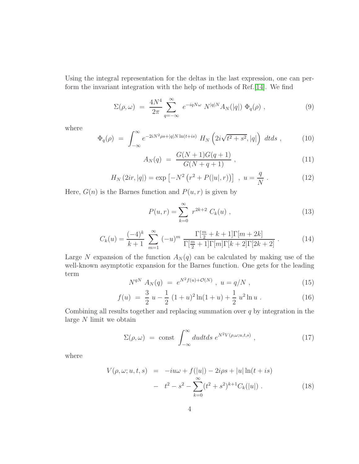Using the integral representation for the deltas in the last expression, one can perform the invariant integration with the help of methods of Ref.[\[14\]](#page-14-13). We find

$$
\Sigma(\rho,\omega) = \frac{4N^4}{2\pi} \sum_{q=-\infty}^{\infty} e^{-iqN\omega} N^{|q|N} A_N(|q|) \Phi_q(\rho) , \qquad (9)
$$

where

$$
\Phi_q(\rho) = \int_{-\infty}^{\infty} e^{-2iN^2\rho s + |q|N\ln(t+is)} H_N\left(2i\sqrt{t^2+s^2}, |q|\right) dt ds , \qquad (10)
$$

$$
A_N(q) = \frac{G(N+1)G(q+1)}{G(N+q+1)} , \qquad (11)
$$

$$
H_N(2ir, |q|) = \exp \left[ -N^2 \left( r^2 + P(|u|, r) \right) \right] , \ u = \frac{q}{N} . \tag{12}
$$

Here,  $G(n)$  is the Barnes function and  $P(u, r)$  is given by

<span id="page-3-2"></span>
$$
P(u,r) = \sum_{k=0}^{\infty} r^{2k+2} C_k(u) , \qquad (13)
$$

<span id="page-3-0"></span>
$$
C_k(u) = \frac{(-4)^k}{k+1} \sum_{m=1}^{\infty} (-u)^m \frac{\Gamma[\frac{m}{2} + k + 1] \Gamma[m + 2k]}{\Gamma[\frac{m}{2} + 1] \Gamma[m] \Gamma[k+2] \Gamma[2k+2]}.
$$
 (14)

Large N expansion of the function  $A_N(q)$  can be calculated by making use of the well-known asymptotic expansion for the Barnes function. One gets for the leading term

$$
N^{qN} A_N(q) = e^{N^2 f(u) + \mathcal{O}(N)}, \ u = q/N , \qquad (15)
$$

<span id="page-3-1"></span>
$$
f(u) = \frac{3}{2} u - \frac{1}{2} (1+u)^2 \ln(1+u) + \frac{1}{2} u^2 \ln u .
$$
 (16)

Combining all results together and replacing summation over  $q$  by integration in the large N limit we obtain

$$
\Sigma(\rho,\omega) = \text{const} \int_{-\infty}^{\infty} du dt ds \ e^{N^2 V(\rho,\omega;u,t,s)} \ , \qquad (17)
$$

where

$$
V(\rho, \omega; u, t, s) = -iu\omega + f(|u|) - 2i\rho s + |u| \ln(t + is)
$$
  

$$
- t^2 - s^2 - \sum_{k=0}^{\infty} (t^2 + s^2)^{k+1} C_k(|u|) . \tag{18}
$$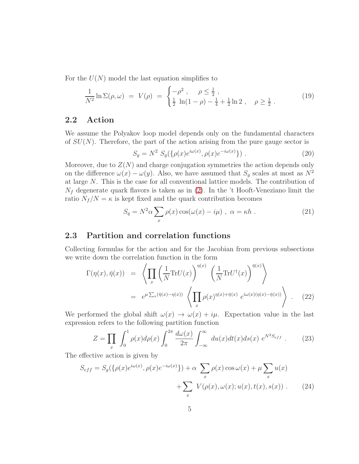For the  $U(N)$  model the last equation simplifies to

<span id="page-4-1"></span>
$$
\frac{1}{N^2}\ln\Sigma(\rho,\omega) = V(\rho) = \begin{cases} -\rho^2, & \rho \le \frac{1}{2}, \\ \frac{1}{2}\ln(1-\rho) - \frac{1}{4} + \frac{1}{2}\ln 2, & \rho \ge \frac{1}{2}. \end{cases}
$$
(19)

### 2.2 Action

We assume the Polyakov loop model depends only on the fundamental characters of  $SU(N)$ . Therefore, the part of the action arising from the pure gauge sector is

$$
S_g = N^2 S_g(\{\rho(x)e^{i\omega(x)}, \rho(x)e^{-i\omega(x)}\})
$$
 (20)

Moreover, due to  $Z(N)$  and charge conjugation symmetries the action depends only on the difference  $\omega(x) - \omega(y)$ . Also, we have assumed that  $S_g$  scales at most as  $N^2$ at large N. This is the case for all conventional lattice models. The contribution of  $N_f$  degenerate quark flavors is taken as in [\(2\)](#page-1-1). In the 't Hooft-Veneziano limit the ratio  $N_f/N = \kappa$  is kept fixed and the quark contribution becomes

$$
S_q = N^2 \alpha \sum_x \rho(x) \cos(\omega(x) - i\mu) , \ \alpha = \kappa h . \tag{21}
$$

### 2.3 Partition and correlation functions

Collecting formulas for the action and for the Jacobian from previous subsections we write down the correlation function in the form

$$
\Gamma(\eta(x), \bar{\eta}(x)) = \left\langle \prod_{x} \left( \frac{1}{N} \text{Tr} U(x) \right)^{\eta(x)} \left( \frac{1}{N} \text{Tr} U^{\dagger}(x) \right)^{\bar{\eta}(x)} \right\rangle
$$
  
\n
$$
= e^{\mu \sum_{x} (\bar{\eta}(x) - \eta(x))} \left\langle \prod_{x} \rho(x)^{\eta(x) + \bar{\eta}(x)} e^{i\omega(x)(\eta(x) - \bar{\eta}(x))} \right\rangle . \tag{22}
$$

We performed the global shift  $\omega(x) \to \omega(x) + i\mu$ . Expectation value in the last expression refers to the following partition function

<span id="page-4-0"></span>
$$
Z = \prod_{x} \int_0^1 \rho(x) d\rho(x) \int_0^{2\pi} \frac{d\omega(x)}{2\pi} \int_{-\infty}^\infty du(x) dt(x) ds(x) e^{N^2 S_{eff}}.
$$
 (23)

The effective action is given by

$$
S_{eff} = S_g(\{\rho(x)e^{i\omega(x)}, \rho(x)e^{-i\omega(x)}\}) + \alpha \sum_x \rho(x)\cos\omega(x) + \mu \sum_x u(x) + \sum_x V(\rho(x), \omega(x); u(x), t(x), s(x)) .
$$
 (24)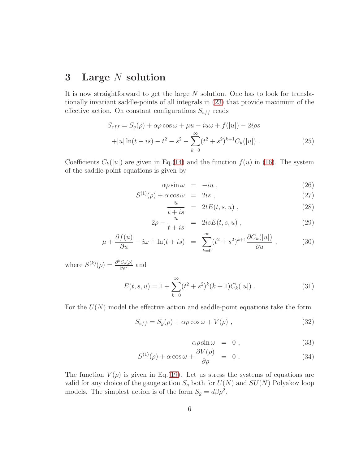## 3 Large N solution

It is now straightforward to get the large N solution. One has to look for translationally invariant saddle-points of all integrals in [\(23\)](#page-4-0) that provide maximum of the effective action. On constant configurations  $S_{eff}$  reads

$$
S_{eff} = S_g(\rho) + \alpha \rho \cos \omega + \mu u - i u \omega + f(|u|) - 2i \rho s
$$
  
+|u| \ln(t + is) - t<sup>2</sup> - s<sup>2</sup> -  $\sum_{k=0}^{\infty} (t^2 + s^2)^{k+1} C_k(|u|)$ . (25)

Coefficients  $C_k(|u|)$  are given in Eq.[\(14\)](#page-3-0) and the function  $f(u)$  in [\(16\)](#page-3-1). The system of the saddle-point equations is given by

<span id="page-5-1"></span>
$$
\alpha \rho \sin \omega = -iu \;, \tag{26}
$$

$$
S^{(1)}(\rho) + \alpha \cos \omega = 2is , \qquad (27)
$$

$$
\frac{u}{t+is} = 2tE(t, s, u), \qquad (28)
$$

$$
2\rho - \frac{u}{t + is} = 2isE(t, s, u) , \qquad (29)
$$

$$
\mu + \frac{\partial f(u)}{\partial u} - i\omega + \ln(t + is) = \sum_{k=0}^{\infty} (t^2 + s^2)^{k+1} \frac{\partial C_k(|u|)}{\partial u}, \qquad (30)
$$

where  $S^{(k)}(\rho) = \frac{\partial^k S_g(\rho)}{\partial \rho^k}$  and

$$
E(t, s, u) = 1 + \sum_{k=0}^{\infty} (t^2 + s^2)^k (k+1) C_k(|u|) . \tag{31}
$$

For the  $U(N)$  model the effective action and saddle-point equations take the form

$$
S_{eff} = S_g(\rho) + \alpha \rho \cos \omega + V(\rho) , \qquad (32)
$$

<span id="page-5-0"></span>
$$
\alpha \rho \sin \omega = 0 , \qquad (33)
$$

$$
S^{(1)}(\rho) + \alpha \cos \omega + \frac{\partial V(\rho)}{\partial \rho} = 0.
$$
 (34)

The function  $V(\rho)$  is given in Eq.[\(19\)](#page-4-1). Let us stress the systems of equations are valid for any choice of the gauge action  $S_g$  both for  $U({\cal N})$  and  $SU({\cal N})$  Polyakov loop models. The simplest action is of the form  $S_g = d\beta \rho^2$ .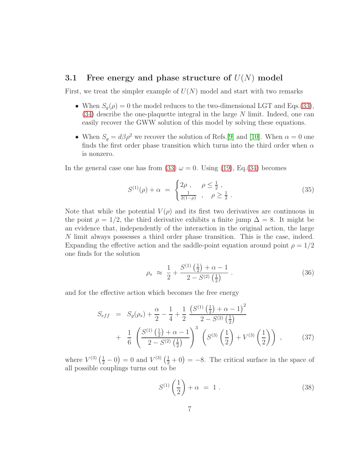#### 3.1 Free energy and phase structure of  $U(N)$  model

First, we treat the simpler example of  $U(N)$  model and start with two remarks

- When  $S_q(\rho) = 0$  the model reduces to the two-dimensional LGT and Eqs.[\(33\)](#page-5-0),  $(34)$  describe the one-plaquette integral in the large N limit. Indeed, one can easily recover the GWW solution of this model by solving these equations.
- When  $S_g = d\beta \rho^2$  we recover the solution of Refs.[\[9\]](#page-14-8) and [\[10\]](#page-14-9). When  $\alpha = 0$  one finds the first order phase transition which turns into the third order when  $\alpha$ is nonzero.

In the general case one has from [\(33\)](#page-5-0)  $\omega = 0$ . Using [\(19\)](#page-4-1), Eq.[\(34\)](#page-5-0) becomes

$$
S^{(1)}(\rho) + \alpha = \begin{cases} 2\rho, & \rho \le \frac{1}{2}, \\ \frac{1}{2(1-\rho)}, & \rho \ge \frac{1}{2}. \end{cases}
$$
 (35)

Note that while the potential  $V(\rho)$  and its first two derivatives are continuous in the point  $\rho = 1/2$ , the third derivative exhibits a finite jump  $\Delta = 8$ . It might be an evidence that, independently of the interaction in the original action, the large N limit always possesses a third order phase transition. This is the case, indeed. Expanding the effective action and the saddle-point equation around point  $\rho = 1/2$ one finds for the solution

$$
\rho_s \approx \frac{1}{2} + \frac{S^{(1)}\left(\frac{1}{2}\right) + \alpha - 1}{2 - S^{(2)}\left(\frac{1}{2}\right)} \,. \tag{36}
$$

and for the effective action which becomes the free energy

$$
S_{eff} = S_g(\rho_s) + \frac{\alpha}{2} - \frac{1}{4} + \frac{1}{2} \frac{\left(S^{(1)}\left(\frac{1}{2}\right) + \alpha - 1\right)^2}{2 - S^{(2)}\left(\frac{1}{2}\right)} + \frac{1}{6} \left(\frac{S^{(1)}\left(\frac{1}{2}\right) + \alpha - 1}{2 - S^{(2)}\left(\frac{1}{2}\right)}\right)^3 \left(S^{(3)}\left(\frac{1}{2}\right) + V^{(3)}\left(\frac{1}{2}\right)\right), \tag{37}
$$

where  $V^{(3)}\left(\frac{1}{2}-0\right)=0$  and  $V^{(3)}\left(\frac{1}{2}+0\right)=-8$ . The critical surface in the space of all possible couplings turns out to be

$$
S^{(1)}\left(\frac{1}{2}\right) + \alpha = 1.
$$
 (38)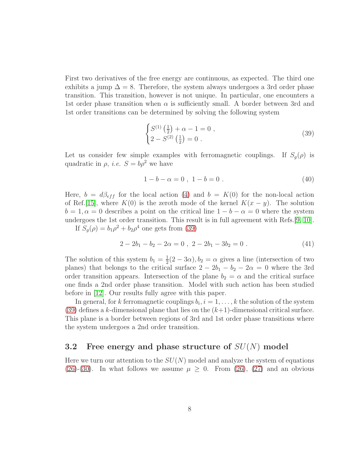First two derivatives of the free energy are continuous, as expected. The third one exhibits a jump  $\Delta = 8$ . Therefore, the system always undergoes a 3rd order phase transition. This transition, however is not unique. In particular, one encounters a 1st order phase transition when  $\alpha$  is sufficiently small. A border between 3rd and 1st order transitions can be determined by solving the following system

<span id="page-7-0"></span>
$$
\begin{cases}\nS^{(1)}\left(\frac{1}{2}\right) + \alpha - 1 = 0, \\
2 - S^{(2)}\left(\frac{1}{2}\right) = 0.\n\end{cases}
$$
\n(39)

Let us consider few simple examples with ferromagnetic couplings. If  $S_q(\rho)$  is quadratic in  $\rho$ , *i.e.*  $S = b\rho^2$  we have

$$
1 - b - \alpha = 0 \, , \, 1 - b = 0 \, . \tag{40}
$$

Here,  $b = d\beta_{eff}$  for the local action [\(4\)](#page-1-0) and  $b = K(0)$  for the non-local action of Ref.[\[15\]](#page-14-14), where  $K(0)$  is the zeroth mode of the kernel  $K(x - y)$ . The solution  $b = 1, \alpha = 0$  describes a point on the critical line  $1 - b - \alpha = 0$  where the system undergoes the 1st order transition. This result is in full agreement with Refs.[\[9,](#page-14-8) [10\]](#page-14-9). If  $S_g(\rho) = b_1 \rho^2 + b_2 \rho^4$  one gets from [\(39\)](#page-7-0)

$$
2 - 2b_1 - b_2 - 2\alpha = 0 , \ 2 - 2b_1 - 3b_2 = 0 . \tag{41}
$$

The solution of this system  $b_1 = \frac{1}{2}$  $\frac{1}{2}(2-3\alpha)$ ,  $b_2 = \alpha$  gives a line (intersection of two planes) that belongs to the critical surface  $2 - 2b_1 - b_2 - 2\alpha = 0$  where the 3rd order transition appears. Intersection of the plane  $b_2 = \alpha$  and the critical surface one finds a 2nd order phase transition. Model with such action has been studied before in [\[12\]](#page-14-11). Our results fully agree with this paper.

In general, for k ferromagnetic couplings  $b_i$ ,  $i = 1, ..., k$  the solution of the system [\(39\)](#page-7-0) defines a k-dimensional plane that lies on the  $(k+1)$ -dimensional critical surface. This plane is a border between regions of 3rd and 1st order phase transitions where the system undergoes a 2nd order transition.

### 3.2 Free energy and phase structure of  $SU(N)$  model

Here we turn our attention to the  $SU(N)$  model and analyze the system of equations [\(26\)](#page-5-1)-[\(30\)](#page-5-1). In what follows we assume  $\mu \geq 0$ . From [\(26\)](#page-5-1), [\(27\)](#page-5-1) and an obvious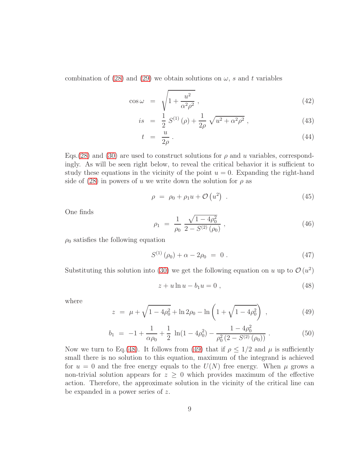combination of [\(28\)](#page-5-1) and [\(29\)](#page-5-1) we obtain solutions on  $\omega$ , s and t variables

$$
\cos \omega = \sqrt{1 + \frac{u^2}{\alpha^2 \rho^2}},\tag{42}
$$

$$
is = \frac{1}{2} S^{(1)}(\rho) + \frac{1}{2\rho} \sqrt{u^2 + \alpha^2 \rho^2}, \qquad (43)
$$

$$
t = \frac{u}{2\rho} \tag{44}
$$

Eqs. [\(28\)](#page-5-1) and [\(30\)](#page-5-1) are used to construct solutions for  $\rho$  and u variables, correspondingly. As will be seen right below, to reveal the critical behavior it is sufficient to study these equations in the vicinity of the point  $u = 0$ . Expanding the right-hand side of [\(28\)](#page-5-1) in powers of u we write down the solution for  $\rho$  as

$$
\rho = \rho_0 + \rho_1 u + \mathcal{O}\left(u^2\right) \tag{45}
$$

One finds

$$
\rho_1 = \frac{1}{\rho_0} \frac{\sqrt{1 - 4\rho_0^2}}{2 - S^{(2)}(\rho_0)},
$$
\n(46)

 $\rho_0$  satisfies the following equation

<span id="page-8-2"></span>
$$
S^{(1)}(\rho_0) + \alpha - 2\rho_0 = 0.
$$
 (47)

Substituting this solution into [\(30\)](#page-5-1) we get the following equation on u up to  $\mathcal{O}(u^2)$ 

<span id="page-8-0"></span>
$$
z + u \ln u - b_1 u = 0 , \t\t(48)
$$

where

<span id="page-8-1"></span>
$$
z = \mu + \sqrt{1 - 4\rho_0^2} + \ln 2\rho_0 - \ln \left( 1 + \sqrt{1 - 4\rho_0^2} \right) , \qquad (49)
$$

$$
b_1 = -1 + \frac{1}{\alpha \rho_0} + \frac{1}{2} \ln(1 - 4\rho_0^2) - \frac{1 - 4\rho_0^2}{\rho_0^2 (2 - S^{(2)}(\rho_0))} \,. \tag{50}
$$

Now we turn to Eq.[\(48\)](#page-8-0). It follows from [\(49\)](#page-8-1) that if  $\rho \leq 1/2$  and  $\mu$  is sufficiently small there is no solution to this equation, maximum of the integrand is achieved for  $u = 0$  and the free energy equals to the  $U(N)$  free energy. When  $\mu$  grows a non-trivial solution appears for  $z \geq 0$  which provides maximum of the effective action. Therefore, the approximate solution in the vicinity of the critical line can be expanded in a power series of z.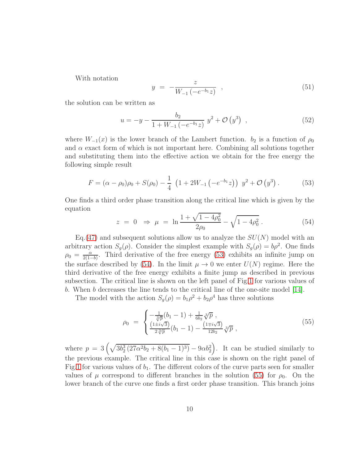With notation

$$
y = -\frac{z}{W_{-1}(-e^{-b_1}z)} , \t\t(51)
$$

the solution can be written as

$$
u = -y - \frac{b_2}{1 + W_{-1} \left(-e^{-b_1} z\right)} y^2 + \mathcal{O}\left(y^3\right) , \qquad (52)
$$

where  $W_{-1}(x)$  is the lower branch of the Lambert function.  $b_2$  is a function of  $\rho_0$ and  $\alpha$  exact form of which is not important here. Combining all solutions together and substituting them into the effective action we obtain for the free energy the following simple result

<span id="page-9-0"></span>
$$
F = (\alpha - \rho_0)\rho_0 + S(\rho_0) - \frac{1}{4} \left(1 + 2W_{-1} \left(-e^{-b_1}z\right)\right) y^2 + \mathcal{O}\left(y^3\right). \tag{53}
$$

One finds a third order phase transition along the critical line which is given by the equation

<span id="page-9-1"></span>
$$
z = 0 \Rightarrow \mu = \ln \frac{1 + \sqrt{1 - 4\rho_0^2}}{2\rho_0} - \sqrt{1 - 4\rho_0^2} . \tag{54}
$$

Eq.[\(47\)](#page-8-2) and subsequent solutions allow us to analyze the  $SU(N)$  model with an arbitrary action  $S_g(\rho)$ . Consider the simplest example with  $S_g(\rho) = b\rho^2$ . One finds  $\rho_0 = \frac{\alpha}{2(1-\alpha)}$  $\frac{\alpha}{2(1-b)}$ . Third derivative of the free energy [\(53\)](#page-9-0) exhibits an infinite jump on the surface described by [\(54\)](#page-9-1). In the limit  $\mu \to 0$  we enter  $U(N)$  regime. Here the third derivative of the free energy exhibits a finite jump as described in previous subsection. The critical line is shown on the left panel of Fig[.1](#page-10-0) for various values of b. When b decreases the line tends to the critical line of the one-site model [\[14\]](#page-14-13).

The model with the action  $S_g(\rho) = b_1 \rho^2 + b_2 \rho^4$  has three solutions

<span id="page-9-2"></span>
$$
\rho_0 = \begin{cases}\n-\frac{1}{\sqrt[3]{p}}(b_1 - 1) + \frac{1}{6b_2}\sqrt[3]{p}, \\
\frac{(1 \pm i\sqrt{3})}{2\sqrt[3]{p}}(b_1 - 1) - \frac{(1 \mp i\sqrt{3})}{12b_2}\sqrt[3]{p},\n\end{cases} (55)
$$

where  $p = 3\left(\sqrt{3b_2^3(27\alpha^2b_2 + 8(b_1 - 1)^3)} - 9\alpha b_2^2\right)$ . It can be studied similarly to the previous example. The critical line in this case is shown on the right panel of Fig[.1](#page-10-0) for various values of  $b_1$ . The different colors of the curve parts seen for smaller values of  $\mu$  correspond to different branches in the solution [\(55\)](#page-9-2) for  $\rho_0$ . On the lower branch of the curve one finds a first order phase transition. This branch joins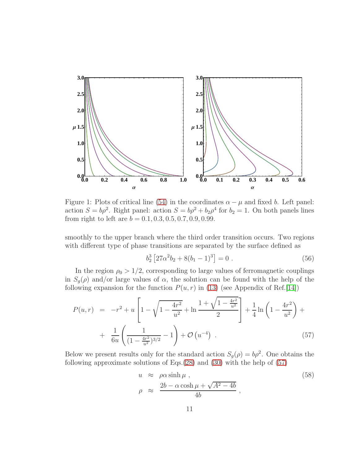

<span id="page-10-0"></span>Figure 1: Plots of critical line [\(54\)](#page-9-1) in the coordinates  $\alpha - \mu$  and fixed b. Left panel: action  $S = b\rho^2$ . Right panel: action  $S = b\rho^2 + b_2\rho^4$  for  $b_2 = 1$ . On both panels lines from right to left are  $b = 0.1, 0.3, 0.5, 0.7, 0.9, 0.99$ .

smoothly to the upper branch where the third order transition occurs. Two regions with different type of phase transitions are separated by the surface defined as

$$
b_2^3 \left[ 27\alpha^2 b_2 + 8(b_1 - 1)^3 \right] = 0 \tag{56}
$$

In the region  $\rho_0 > 1/2$ , corresponding to large values of ferromagnetic couplings in  $S_q(\rho)$  and/or large values of  $\alpha$ , the solution can be found with the help of the following expansion for the function  $P(u, r)$  in [\(13\)](#page-3-2) (see Appendix of Ref.[\[14\]](#page-14-13))

<span id="page-10-1"></span>
$$
P(u,r) = -r^2 + u \left[ 1 - \sqrt{1 - \frac{4r^2}{u^2}} + \ln \frac{1 + \sqrt{1 - \frac{4r^2}{u^2}}}{2} \right] + \frac{1}{4} \ln \left( 1 - \frac{4r^2}{u^2} \right) + \frac{1}{6u} \left( \frac{1}{(1 - \frac{4r^2}{u^2})^{3/2}} - 1 \right) + \mathcal{O}\left(u^{-4}\right) . \tag{57}
$$

Below we present results only for the standard action  $S_g(\rho) = b\rho^2$ . One obtains the following approximate solutions of Eqs.[\(28\)](#page-5-1) and [\(30\)](#page-5-1) with the help of [\(57\)](#page-10-1)

$$
u \approx \rho \alpha \sinh \mu ,
$$
  
\n
$$
\rho \approx \frac{2b - \alpha \cosh \mu + \sqrt{A^2 - 4b}}{4b} ,
$$
\n(58)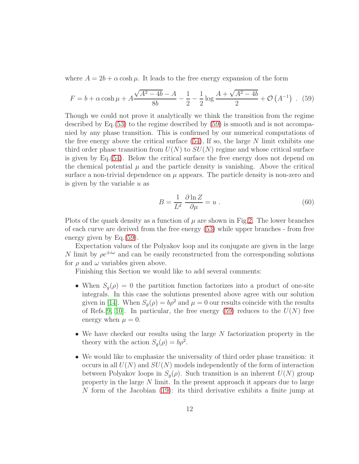where  $A = 2b + \alpha \cosh \mu$ . It leads to the free energy expansion of the form

<span id="page-11-0"></span>
$$
F = b + \alpha \cosh \mu + A \frac{\sqrt{A^2 - 4b} - A}{8b} - \frac{1}{2} - \frac{1}{2} \log \frac{A + \sqrt{A^2 - 4b}}{2} + \mathcal{O}\left(A^{-1}\right) \tag{59}
$$

Though we could not prove it analytically we think the transition from the regime described by Eq.[\(53\)](#page-9-0) to the regime described by [\(59\)](#page-11-0) is smooth and is not accompanied by any phase transition. This is confirmed by our numerical computations of the free energy above the critical surface  $(54)$ , If so, the large N limit exhibits one third order phase transition from  $U(N)$  to  $SU(N)$  regime and whose critical surface is given by Eq.[\(54\)](#page-9-1). Below the critical surface the free energy does not depend on the chemical potential  $\mu$  and the particle density is vanishing. Above the critical surface a non-trivial dependence on  $\mu$  appears. The particle density is non-zero and is given by the variable  $u$  as

$$
B = \frac{1}{L^d} \frac{\partial \ln Z}{\partial \mu} = u \ . \tag{60}
$$

Plots of the quark density as a function of  $\mu$  are shown in Fig. 2. The lower branches of each curve are derived from the free energy [\(53\)](#page-9-0) while upper branches - from free energy given by Eq.[\(59\)](#page-11-0).

Expectation values of the Polyakov loop and its conjugate are given in the large N limit by  $\rho e^{\pm i\omega}$  and can be easily reconstructed from the corresponding solutions for  $\rho$  and  $\omega$  variables given above.

Finishing this Section we would like to add several comments:

- When  $S_g(\rho) = 0$  the partition function factorizes into a product of one-site integrals. In this case the solutions presented above agree with our solution given in [\[14\]](#page-14-13). When  $S_q(\rho) = b\rho^2$  and  $\mu = 0$  our results coincide with the results of Refs.[\[9,](#page-14-8) [10\]](#page-14-9). In particular, the free energy [\(59\)](#page-11-0) reduces to the  $U(N)$  free energy when  $\mu = 0$ .
- We have checked our results using the large N factorization property in the theory with the action  $S_g(\rho) = b\rho^2$ .
- We would like to emphasize the universality of third order phase transition: it occurs in all  $U(N)$  and  $SU(N)$  models independently of the form of interaction between Polyakov loops in  $S_q(\rho)$ . Such transition is an inherent  $U(N)$  group property in the large N limit. In the present approach it appears due to large N form of the Jacobian [\(19\)](#page-4-1): its third derivative exhibits a finite jump at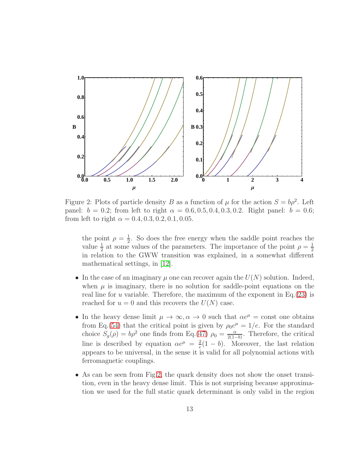

<span id="page-12-0"></span>Figure 2: Plots of particle density B as a function of  $\mu$  for the action  $S = b\rho^2$ . Left panel:  $b = 0.2$ ; from left to right  $\alpha = 0.6, 0.5, 0.4, 0.3, 0.2$ . Right panel:  $b = 0.6$ ; from left to right  $\alpha = 0.4, 0.3, 0.2, 0.1, 0.05$ .

the point  $\rho = \frac{1}{2}$  $\frac{1}{2}$ . So does the free energy when the saddle point reaches the value  $\frac{1}{2}$  at some values of the parameters. The importance of the point  $\rho = \frac{1}{2}$ 2 in relation to the GWW transition was explained, in a somewhat different mathematical settings, in [\[12\]](#page-14-11).

- In the case of an imaginary  $\mu$  one can recover again the  $U(N)$  solution. Indeed, when  $\mu$  is imaginary, there is no solution for saddle-point equations on the real line for u variable. Therefore, the maximum of the exponent in Eq.  $(23)$  is reached for  $u = 0$  and this recovers the  $U(N)$  case.
- In the heavy dense limit  $\mu \to \infty, \alpha \to 0$  such that  $\alpha e^{\mu} = \text{const}$  one obtains from Eq.[\(54\)](#page-9-1) that the critical point is given by  $\rho_0 e^{\mu} = 1/e$ . For the standard choice  $S_g(\rho) = b\rho^2$  one finds from Eq.[\(47\)](#page-8-2)  $\rho_0 = \frac{\alpha}{2(1-\alpha)}$  $\frac{\alpha}{2(1-b)}$ . Therefore, the critical line is described by equation  $\alpha e^{\mu} = \frac{2}{e}$  $\frac{2}{e}(1-b)$ . Moreover, the last relation appears to be universal, in the sense it is valid for all polynomial actions with ferromagnetic couplings.
- As can be seen from Fig[.2,](#page-12-0) the quark density does not show the onset transition, even in the heavy dense limit. This is not surprising because approximation we used for the full static quark determinant is only valid in the region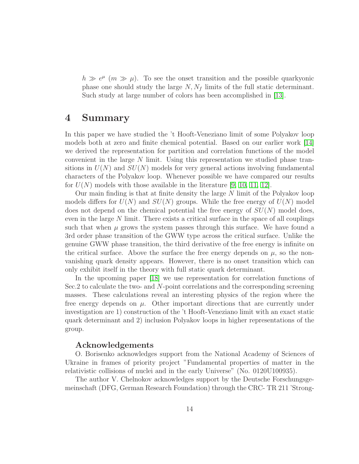$h \gg e^{\mu}$  ( $m \gg \mu$ ). To see the onset transition and the possible quarkyonic phase one should study the large  $N, N_f$  limits of the full static determinant. Such study at large number of colors has been accomplished in [\[13\]](#page-14-12).

### 4 Summary

In this paper we have studied the 't Hooft-Veneziano limit of some Polyakov loop models both at zero and finite chemical potential. Based on our earlier work [\[14\]](#page-14-13) we derived the representation for partition and correlation functions of the model convenient in the large N limit. Using this representation we studied phase transitions in  $U(N)$  and  $SU(N)$  models for very general actions involving fundamental characters of the Polyakov loop. Whenever possible we have compared our results for  $U(N)$  models with those available in the literature [\[9,](#page-14-8) [10,](#page-14-9) [11,](#page-14-10) [12\]](#page-14-11).

Our main finding is that at finite density the large  $N$  limit of the Polyakov loop models differs for  $U(N)$  and  $SU(N)$  groups. While the free energy of  $U(N)$  model does not depend on the chemical potential the free energy of  $SU(N)$  model does, even in the large N limit. There exists a critical surface in the space of all couplings such that when  $\mu$  grows the system passes through this surface. We have found a 3rd order phase transition of the GWW type across the critical surface. Unlike the genuine GWW phase transition, the third derivative of the free energy is infinite on the critical surface. Above the surface the free energy depends on  $\mu$ , so the nonvanishing quark density appears. However, there is no onset transition which can only exhibit itself in the theory with full static quark determinant.

In the upcoming paper [\[18\]](#page-15-2) we use representation for correlation functions of Sec.2 to calculate the two- and N-point correlations and the corresponding screening masses. These calculations reveal an interesting physics of the region where the free energy depends on  $\mu$ . Other important directions that are currently under investigation are 1) construction of the 't Hooft-Veneziano limit with an exact static quark determinant and 2) inclusion Polyakov loops in higher representations of the group.

#### Acknowledgements

O. Borisenko acknowledges support from the National Academy of Sciences of Ukraine in frames of priority project "Fundamental properties of matter in the relativistic collisions of nuclei and in the early Universe" (No. 0120U100935).

The author V. Chelnokov acknowledges support by the Deutsche Forschungsgemeinschaft (DFG, German Research Foundation) through the CRC- TR 211 'Strong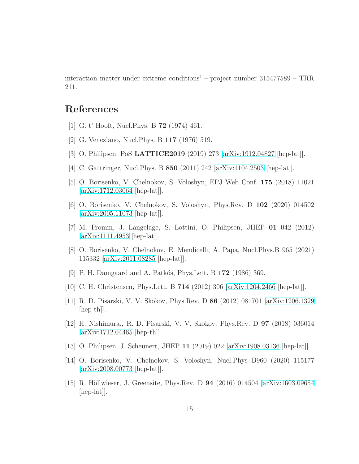interaction matter under extreme conditions' – project number 315477589 – TRR 211.

# <span id="page-14-0"></span>References

- <span id="page-14-1"></span>[1] G. t' Hooft, Nucl.Phys. B 72 (1974) 461.
- <span id="page-14-2"></span>[2] G. Veneziano, Nucl.Phys. B 117 (1976) 519.
- <span id="page-14-3"></span>[3] O. Philipsen, PoS LATTICE2019 (2019) 273 [\[arXiv:1912.04827](http://arxiv.org/abs/1912.04827) [hep-lat]].
- <span id="page-14-4"></span>[4] C. Gattringer, Nucl.Phys. B 850 (2011) 242 [\[arXiv:1104.2503](http://arxiv.org/abs/1104.2503) [hep-lat]].
- <span id="page-14-5"></span>[5] O. Borisenko, V. Chelnokov, S. Voloshyn, EPJ Web Conf. 175 (2018) 11021 [\[arXiv:1712.03064](http://arxiv.org/abs/1712.03064) [hep-lat]].
- <span id="page-14-6"></span>[6] O. Borisenko, V. Chelnokov, S. Voloshyn, Phys.Rev. D 102 (2020) 014502 [\[arXiv:2005.11073](http://arxiv.org/abs/2005.11073) [hep-lat]].
- <span id="page-14-7"></span>[7] M. Fromm, J. Langelage, S. Lottini, O. Philipsen, JHEP 01 042 (2012) [\[arXiv:1111.4953](http://arxiv.org/abs/1111.4953) [hep-lat]].
- [8] O. Borisenko, V. Chelnokov, E. Mendicelli, A. Papa, Nucl.Phys.B 965 (2021) 115332 [\[arXiv:2011.08285](http://arxiv.org/abs/2011.08285) [hep-lat]].
- <span id="page-14-9"></span><span id="page-14-8"></span>[9] P. H. Damgaard and A. Patkós, Phys.Lett. B 172 (1986) 369.
- <span id="page-14-10"></span>[10] C. H. Christensen, Phys.Lett. B 714 (2012) 306 [\[arXiv:1204.2466](http://arxiv.org/abs/1204.2466) [hep-lat]].
- <span id="page-14-11"></span>[11] R. D. Pisarski, V. V. Skokov, Phys.Rev. D 86 (2012) 081701 [\[arXiv:1206.1329](http://arxiv.org/abs/1206.1329) [hep-th]].
- [12] H. Nishimura,, R. D. Pisarski, V. V. Skokov, Phys.Rev. D 97 (2018) 036014  $[\text{arXiv:1712.04465} \; [\text{hep-th}]].$
- <span id="page-14-13"></span><span id="page-14-12"></span>[13] O. Philipsen, J. Scheunert, JHEP 11 (2019) 022 [\[arXiv:1908.03136](http://arxiv.org/abs/1908.03136) [hep-lat]].
- [14] O. Borisenko, V. Chelnokov, S. Voloshyn, Nucl.Phys B960 (2020) 115177 [\[arXiv:2008.00773](http://arxiv.org/abs/2008.00773) [hep-lat]].
- <span id="page-14-14"></span>[15] R. Höllwieser, J. Greensite, Phys.Rev. D **94** (2016) 014504 [\[arXiv:1603.09654](http://arxiv.org/abs/1603.09654)] [hep-lat].